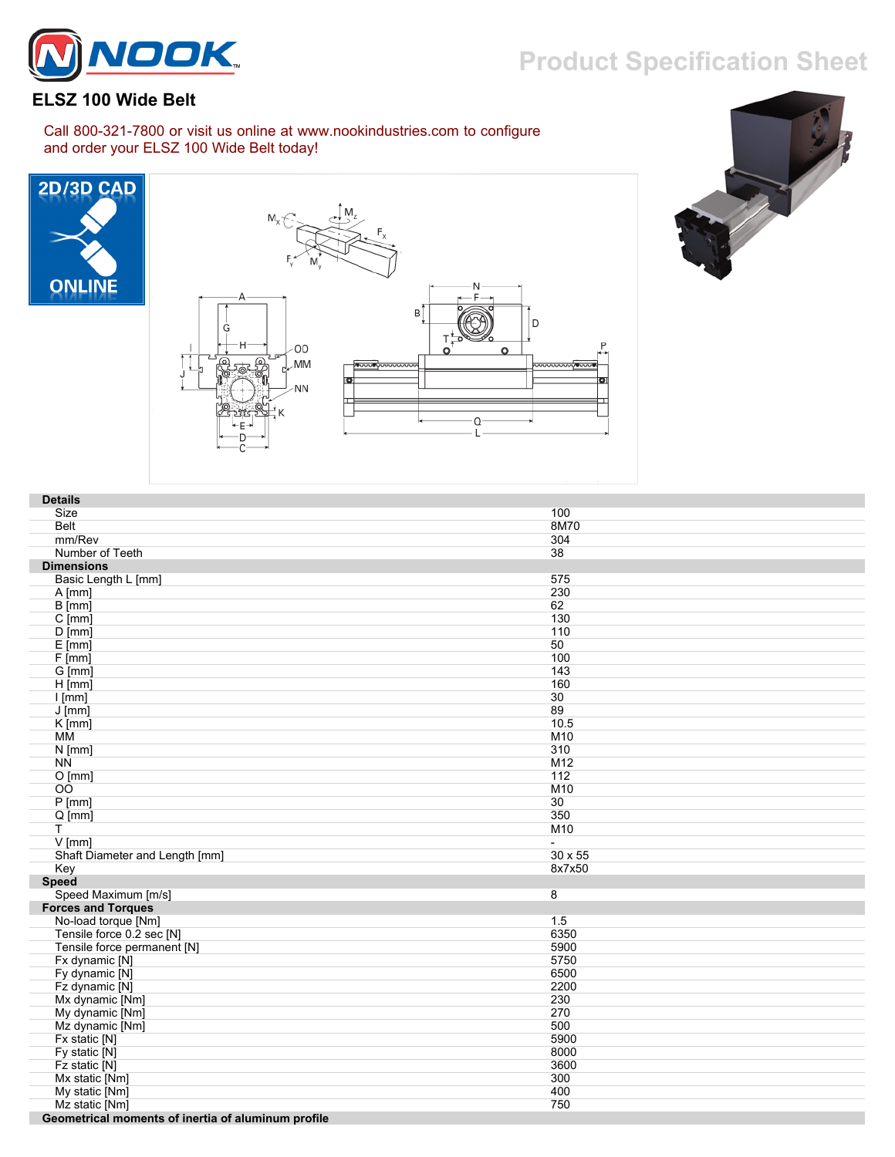## **Product Specification Sheet**



## **ELSZ 100 Wide Belt**

Call 800-321-7800 or visit us online at www.nookindustries.com to configure and order your ELSZ 100 Wide Belt today!







| <b>Details</b>                                     |                |
|----------------------------------------------------|----------------|
| Size                                               | 100            |
| <b>Belt</b>                                        | 8M70           |
| mm/Rev                                             | 304            |
| Number of Teeth                                    | 38             |
| <b>Dimensions</b>                                  |                |
| Basic Length L [mm]                                | 575            |
| $A$ [mm]                                           | 230            |
| B [mm]                                             | 62             |
| $C$ [mm]                                           | 130            |
| $D$ [mm]                                           | 110            |
|                                                    |                |
| $E$ [mm]                                           | 50             |
| F[mm]                                              | 100            |
| G [mm]                                             | 143            |
| $H$ [mm]                                           | 160            |
| $I$ [mm]                                           | 30             |
| $J$ [mm]                                           | 89             |
| $K$ [mm]                                           | 10.5           |
| MМ                                                 | M10            |
| $N$ [mm]                                           | 310            |
| <b>NN</b>                                          | M12            |
| O[mm]                                              | 112            |
| $\overline{O}$                                     | M10            |
| $P$ [mm]                                           | 30             |
| $Q$ [mm]                                           | 350            |
| T                                                  | M10            |
| $V$ [mm]                                           | $\blacksquare$ |
| Shaft Diameter and Length [mm]                     | 30 x 55        |
| Key                                                | 8x7x50         |
| <b>Speed</b>                                       |                |
| Speed Maximum [m/s]                                | 8              |
| <b>Forces and Torques</b>                          |                |
|                                                    | 1.5            |
| No-load torque [Nm]                                |                |
| Tensile force 0.2 sec [N]                          | 6350           |
| Tensile force permanent [N]                        | 5900           |
| Fx dynamic [N]                                     | 5750           |
| Fy dynamic [N]                                     | 6500           |
| Fz dynamic [N]                                     | 2200           |
| Mx dynamic [Nm]                                    | 230            |
| My dynamic [Nm]                                    | 270            |
| Mz dynamic [Nm]                                    | 500            |
| Fx static [N]                                      | 5900           |
| Fy static [N]                                      | 8000           |
| Fz static [N]                                      | 3600           |
| Mx static [Nm]                                     | 300            |
| My static [Nm]                                     | 400            |
| Mz static [Nm]                                     | 750            |
| Coometrical momente of inertia of aluminum profile |                |

 **Geometrical moments of inertia of aluminum profile**